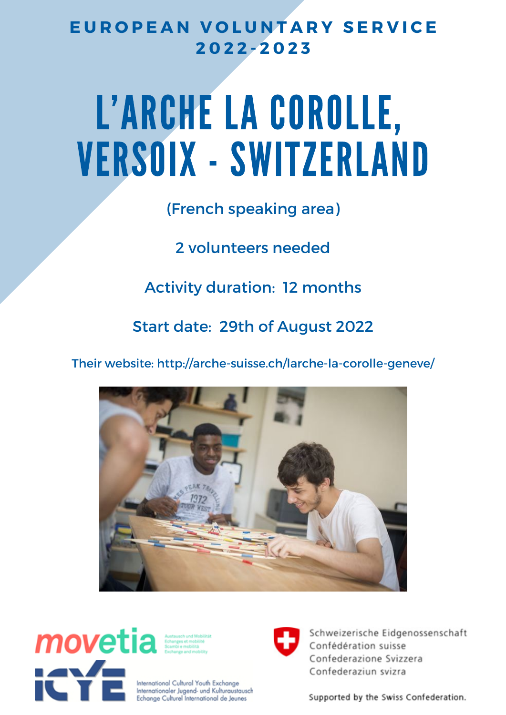## **E U R O P E A N V O L U N T A R Y S E R V I C E 2 0 2 2 - 2 0 2 3**

# L'ARCHE LA COROLLE, VERSOIX - SWITZERLAND

## (French speaking area)

2 volunteers needed

Activity duration: 12 months

Start date: 29th of August 2022

Their website: http://arche-suisse.ch/larche-la-corolle-geneve/





International Cultural Youth Exchange Internationaler Jugend- und Kulturaustausch Echange Culturel International de Jeunes



Schweizerische Eidgenossenschaft Confédération suisse Confederazione Svizzera Confederaziun svizra

Supported by the Swiss Confederation.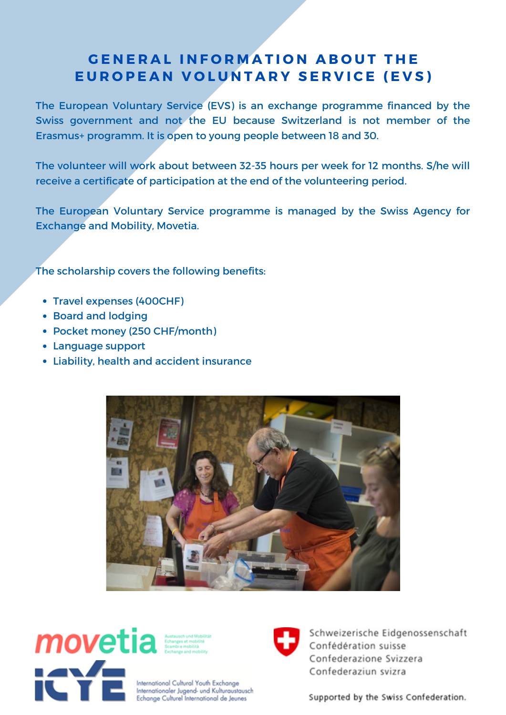### **GENERAL INFORMATION ABOUT THE** EUROPEAN VOLUNTARY SERVICE (EVS)

The European Voluntary Service (EVS) is an exchange programme financed by the Swiss government and not the EU because Switzerland is not member of the Erasmus+ programm. It is open to young people between 18 and 30.

The volunteer will work about between 32-35 hours per week for 12 months. S/he will receive a certificate of participation at the end of the volunteering period.

The European Voluntary Service programme is managed by the Swiss Agency for Exchange and Mobility, Movetia.

The scholarship covers the following benefits:

- Travel expenses (400CHF)
- Board and lodging
- Pocket money (250 CHF/month)
- Language support
- Liability, health and accident insurance





International Cultural Youth Exchange Internationaler Jugend- und Kulturaustausch Echange Culturel International de Jeunes



Schweizerische Eidgenossenschaft Confédération suisse Confederazione Svizzera Confederaziun svizra

Supported by the Swiss Confederation.